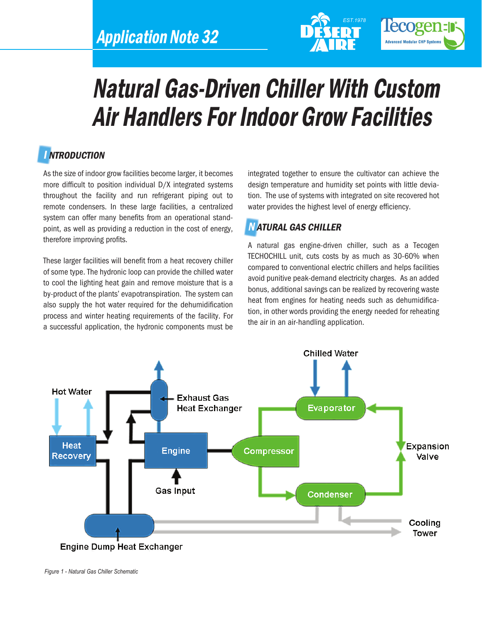



# Natural Gas-Driven Chiller With Custom Air Handlers For Indoor Grow Facilities

# **INTRODUCTION**

As the size of indoor grow facilities become larger, it becomes more difficult to position individual D/X integrated systems throughout the facility and run refrigerant piping out to remote condensers. In these large facilities, a centralized system can offer many benefits from an operational standpoint, as well as providing a reduction in the cost of energy, therefore improving profits.

These larger facilities will benefit from a heat recovery chiller of some type. The hydronic loop can provide the chilled water to cool the lighting heat gain and remove moisture that is a by-product of the plants' evapotranspiration. The system can also supply the hot water required for the dehumidification process and winter heating requirements of the facility. For a successful application, the hydronic components must be integrated together to ensure the cultivator can achieve the design temperature and humidity set points with little deviation. The use of systems with integrated on site recovered hot water provides the highest level of energy efficiency.

## N ATURAL GAS CHILLER

A natural gas engine-driven chiller, such as a Tecogen TECHOCHILL unit, cuts costs by as much as 30-60% when compared to conventional electric chillers and helps facilities avoid punitive peak-demand electricity charges. As an added bonus, additional savings can be realized by recovering waste heat from engines for heating needs such as dehumidification, in other words providing the energy needed for reheating the air in an air-handling application.



*Figure 1 - Natural Gas Chiller Schematic*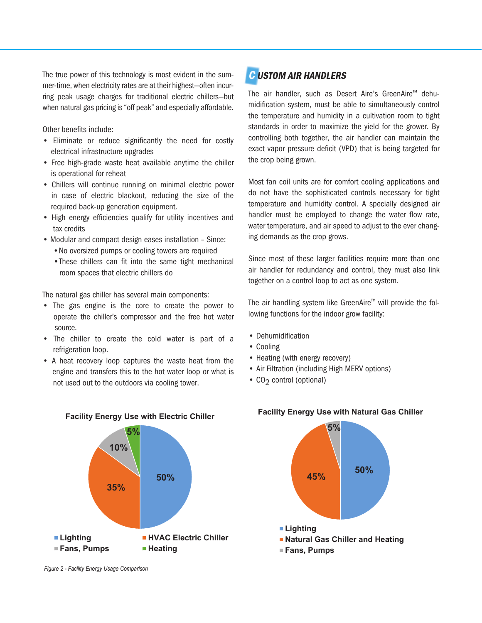The true power of this technology is most evident in the summer-time, when electricity rates are at their highest—often incurring peak usage charges for traditional electric chillers—but when natural gas pricing is "off peak" and especially affordable.

Other benefits include:

- Eliminate or reduce significantly the need for costly electrical infrastructure upgrades
- Free high-grade waste heat available anytime the chiller is operational for reheat
- Chillers will continue running on minimal electric power in case of electric blackout, reducing the size of the required back-up generation equipment.
- High energy efficiencies qualify for utility incentives and tax credits
- Modular and compact design eases installation Since:
	- •No oversized pumps or cooling towers are required
	- •These chillers can fit into the same tight mechanical room spaces that electric chillers do

The natural gas chiller has several main components:

- The gas engine is the core to create the power to operate the chiller's compressor and the free hot water source.
- The chiller to create the cold water is part of a refrigeration loop.
- A heat recovery loop captures the waste heat from the engine and transfers this to the hot water loop or what is not used out to the outdoors via cooling tower.



The air handler, such as Desert Aire's GreenAire™ dehumidification system, must be able to simultaneously control the temperature and humidity in a cultivation room to tight standards in order to maximize the yield for the grower. By controlling both together, the air handler can maintain the exact vapor pressure deficit (VPD) that is being targeted for the crop being grown.

Most fan coil units are for comfort cooling applications and do not have the sophisticated controls necessary for tight temperature and humidity control. A specially designed air handler must be employed to change the water flow rate, water temperature, and air speed to adjust to the ever changing demands as the crop grows.

Since most of these larger facilities require more than one air handler for redundancy and control, they must also link together on a control loop to act as one system.

The air handling system like GreenAire™ will provide the following functions for the indoor grow facility:

- Dehumidification
- Cooling
- Heating (with energy recovery)
- Air Filtration (including High MERV options)
- CO<sub>2</sub> control (optional)



#### **Facility Energy Use with Natural Gas Chiller**



*Figure 2 - Facility Energy Usage Comparison*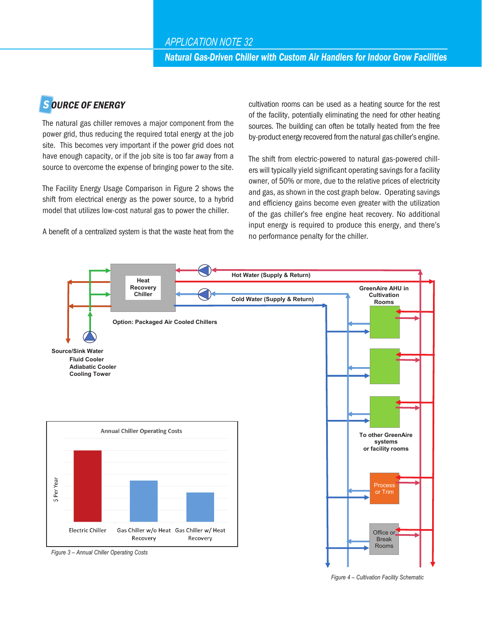# **SOURCE OF ENERGY**

The natural gas chiller removes a major component from the power grid, thus reducing the required total energy at the job site. This becomes very important if the power grid does not have enough capacity, or if the job site is too far away from a source to overcome the expense of bringing power to the site.

The Facility Energy Usage Comparison in Figure 2 shows the shift from electrical energy as the power source, to a hybrid model that utilizes low-cost natural gas to power the chiller.

A benefit of a centralized system is that the waste heat from the

cultivation rooms can be used as a heating source for the rest of the facility, potentially eliminating the need for other heating sources. The building can often be totally heated from the free by-product energy recovered from the natural gas chiller's engine.

The shift from electric-powered to natural gas-powered chillers will typically yield significant operating savings for a facility owner, of 50% or more, due to the relative prices of electricity and gas, as shown in the cost graph below. Operating savings and efficiency gains become even greater with the utilization of the gas chiller's free engine heat recovery. No additional input energy is required to produce this energy, and there's no performance penalty for the chiller.



*Figure 4 – Cultivation Facility Schematic*